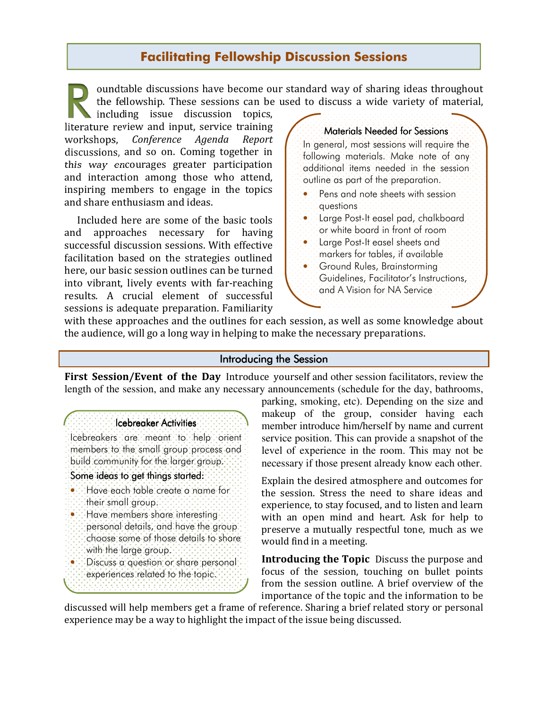# Facilitating Fellowship Discussion Sessions

oundtable discussions have become our standard way of sharing ideas throughout the fellowship. These sessions can be used to discuss a wide variety of material,  $\frac{1}{10}$ <br> $\frac{1}{10}$ 

including issue discussion topics, literature review and input, service training workshops, Conference Agenda Report discussions, and so on. Coming together in this way encourages greater participation and interaction among those who attend, inspiring members to engage in the topics and share enthusiasm and ideas.

Included here are some of the basic tools and approaches necessary for having successful discussion sessions. With effective facilitation based on the strategies outlined here, our basic session outlines can be turned into vibrant, lively events with far-reaching results. A crucial element of successful sessions is adequate preparation. Familiarity

#### Materials Needed for Sessions

In general, most sessions will require the following materials. Make note of any additional items needed in the session outline as part of the preparation.

- Pens and note sheets with session questions
- Large Post-It easel pad, chalkboard or white board in front of room
- Large Post-It easel sheets and markers for tables, if available
- Ground Rules, Brainstorming Guidelines, Facilitator's Instructions, and A Vision for NA Service

with these approaches and the outlines for each session, as well as some knowledge about the audience, will go a long way in helping to make the necessary preparations.

#### Introducing the Session

First Session/Event of the DayIntroduce yourself and other session facilitators, review the length of the session, and make any necessary announcements (schedule for the day, bathrooms,

# Icebreaker Activities

Icebreakers are meant to help orient members to the small group process and build community for the larger group.

### Some ideas to get things started:

- Have each table create a name for their small group.
- Have members share interesting personal details, and have the group choose some of those details to share with the large group.
- Discuss a question or share personal experiences related to the topic.

parking, smoking, etc). Depending on the size and makeup of the group, consider having each member introduce him/herself by name and current service position. This can provide a snapshot of the level of experience in the room. This may not be necessary if those present already know each other.

Explain the desired atmosphere and outcomes for the session. Stress the need to share ideas and experience, to stay focused, and to listen and learn with an open mind and heart. Ask for help to preserve a mutually respectful tone, much as we would find in a meeting.

Introducing the Topic Discuss the purpose and focus of the session, touching on bullet points from the session outline. A brief overview of the importance of the topic and the information to be

discussed will help members get a frame of reference. Sharing a brief related story or personal experience may be a way to highlight the impact of the issue being discussed.